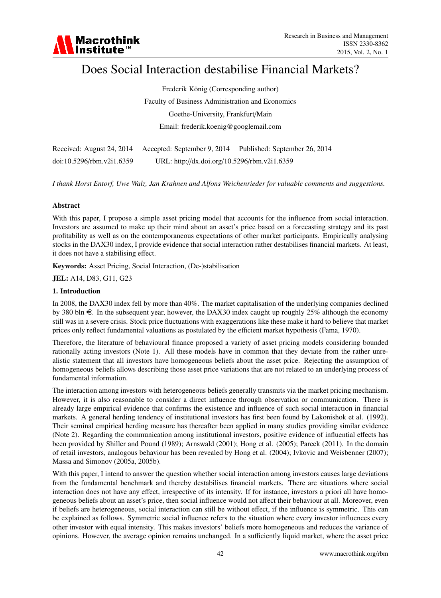# Does Social Interaction destabilise Financial Markets?

Frederik König (Corresponding author) Faculty of Business Administration and Economics Goethe-University, Frankfurt/Main Email: frederik.koenig@googlemail.com

|                           |                                              | Received: August 24, 2014 Accepted: September 9, 2014 Published: September 26, 2014 |
|---------------------------|----------------------------------------------|-------------------------------------------------------------------------------------|
| doi:10.5296/rbm.v2i1.6359 | URL: http://dx.doi.org/10.5296/rbm.v2i1.6359 |                                                                                     |

*I thank Horst Entorf, Uwe Walz, Jan Krahnen and Alfons Weichenrieder for valuable comments and suggestions.*

# Abstract

With this paper, I propose a simple asset pricing model that accounts for the influence from social interaction. Investors are assumed to make up their mind about an asset's price based on a forecasting strategy and its past profitability as well as on the contemporaneous expectations of other market participants. Empirically analysing stocks in the DAX30 index, I provide evidence that social interaction rather destabilises financial markets. At least, it does not have a stabilising effect.

Keywords: Asset Pricing, Social Interaction, (De-)stabilisation

JEL: A14, D83, G11, G23

# 1. Introduction

In 2008, the DAX30 index fell by more than 40%. The market capitalisation of the underlying companies declined by 380 bln  $\epsilon$ . In the subsequent year, however, the DAX30 index caught up roughly 25% although the economy still was in a severe crisis. Stock price fluctuations with exaggerations like these make it hard to believe that market prices only reflect fundamental valuations as postulated by the efficient market hypothesis (Fama, 1970).

Therefore, the literature of behavioural finance proposed a variety of asset pricing models considering bounded rationally acting investors (Note 1). All these models have in common that they deviate from the rather unrealistic statement that all investors have homogeneous beliefs about the asset price. Rejecting the assumption of homogeneous beliefs allows describing those asset price variations that are not related to an underlying process of fundamental information.

The interaction among investors with heterogeneous beliefs generally transmits via the market pricing mechanism. However, it is also reasonable to consider a direct influence through observation or communication. There is already large empirical evidence that confirms the existence and influence of such social interaction in financial markets. A general herding tendency of institutional investors has first been found by Lakonishok et al. (1992). Their seminal empirical herding measure has thereafter been applied in many studies providing similar evidence (Note 2). Regarding the communication among institutional investors, positive evidence of influential effects has been provided by Shiller and Pound (1989); Arnswald (2001); Hong et al. (2005); Pareek (2011). In the domain of retail investors, analogous behaviour has been revealed by Hong et al. (2004); Ivkovic and Weisbenner (2007); Massa and Simonov (2005a, 2005b).

With this paper, I intend to answer the question whether social interaction among investors causes large deviations from the fundamental benchmark and thereby destabilises financial markets. There are situations where social interaction does not have any effect, irrespective of its intensity. If for instance, investors a priori all have homogeneous beliefs about an asset's price, then social influence would not affect their behaviour at all. Moreover, even if beliefs are heterogeneous, social interaction can still be without effect, if the influence is symmetric. This can be explained as follows. Symmetric social influence refers to the situation where every investor influences every other investor with equal intensity. This makes investors' beliefs more homogeneous and reduces the variance of opinions. However, the average opinion remains unchanged. In a sufficiently liquid market, where the asset price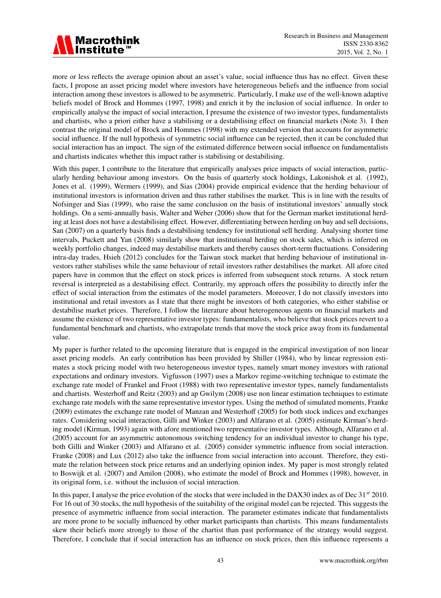

more or less reflects the average opinion about an asset's value, social influence thus has no effect. Given these facts, I propose an asset pricing model where investors have heterogeneous beliefs and the influence from social interaction among these investors is allowed to be asymmetric. Particularly, I make use of the well-known adaptive beliefs model of Brock and Hommes (1997, 1998) and enrich it by the inclusion of social influence. In order to empirically analyse the impact of social interaction, I presume the existence of two investor types, fundamentalists and chartists, who a priori either have a stabilising or a destabilising effect on financial markets (Note 3). I then contrast the original model of Brock and Hommes (1998) with my extended version that accounts for asymmetric social influence. If the null hypothesis of symmetric social influence can be rejected, then it can be concluded that social interaction has an impact. The sign of the estimated difference between social influence on fundamentalists and chartists indicates whether this impact rather is stabilising or destabilising.

With this paper, I contribute to the literature that empirically analyses price impacts of social interaction, particularly herding behaviour among investors. On the basis of quarterly stock holdings, Lakonishok et al. (1992), Jones et al. (1999), Wermers (1999), and Sias (2004) provide empirical evidence that the herding behaviour of institutional investors is information driven and thus rather stabilises the market. This is in line with the results of Nofsinger and Sias (1999), who raise the same conclusion on the basis of institutional investors' annually stock holdings. On a semi-annually basis, Walter and Weber (2006) show that for the German market institutional herding at least does not have a destabilising effect. However, differentiating between herding on buy and sell decisions, San (2007) on a quarterly basis finds a destabilising tendency for institutional sell herding. Analysing shorter time intervals, Puckett and Yan (2008) similarly show that institutional herding on stock sales, which is inferred on weekly portfolio changes, indeed may destabilise markets and thereby causes short-term fluctuations. Considering intra-day trades, Hsieh (2012) concludes for the Taiwan stock market that herding behaviour of institutional investors rather stabilises while the same behaviour of retail investors rather destabilises the market. All afore cited papers have in common that the effect on stock prices is inferred from subsequent stock returns. A stock return reversal is interpreted as a destabilising effect. Contrarily, my approach offers the possibility to directly infer the effect of social interaction from the estimates of the model parameters. Moreover, I do not classify investors into institutional and retail investors as I state that there might be investors of both categories, who either stabilise or destabilise market prices. Therefore, I follow the literature about heterogeneous agents on financial markets and assume the existence of two representative investor types: fundamentalists, who believe that stock prices revert to a fundamental benchmark and chartists, who extrapolate trends that move the stock price away from its fundamental value.

My paper is further related to the upcoming literature that is engaged in the empirical investigation of non linear asset pricing models. An early contribution has been provided by Shiller (1984), who by linear regression estimates a stock pricing model with two heterogeneous investor types, namely smart money investors with rational expectations and ordinary investors. Vigfusson (1997) uses a Markov regime-switching technique to estimate the exchange rate model of Frankel and Froot (1988) with two representative investor types, namely fundamentalists and chartists. Westerhoff and Reitz (2003) and ap Gwilym (2008) use non linear estimation techniques to estimate exchange rate models with the same representative investor types. Using the method of simulated moments, Franke (2009) estimates the exchange rate model of Manzan and Westerhoff (2005) for both stock indices and exchanges rates. Considering social interaction, Gilli and Winker (2003) and Alfarano et al. (2005) estimate Kirman's herding model (Kirman, 1993) again with afore mentioned two representative investor types. Although, Alfarano et al. (2005) account for an asymmetric autonomous switching tendency for an individual investor to change his type, both Gilli and Winker (2003) and Alfarano et al. (2005) consider symmetric influence from social interaction. Franke (2008) and Lux (2012) also take the influence from social interaction into account. Therefore, they estimate the relation between stock price returns and an underlying opinion index. My paper is most strongly related to Boswijk et al. (2007) and Amilon (2008), who estimate the model of Brock and Hommes (1998), however, in its original form, i.e. without the inclusion of social interaction.

In this paper, I analyse the price evolution of the stocks that were included in the DAX30 index as of Dec 31*st* 2010. For 16 out of 30 stocks, the null hypothesis of the suitability of the original model can be rejected. This suggests the presence of asymmetric influence from social interaction. The parameter estimates indicate that fundamentalists are more prone to be socially influenced by other market participants than chartists. This means fundamentalists skew their beliefs more strongly to those of the chartist than past performance of the strategy would suggest. Therefore, I conclude that if social interaction has an influence on stock prices, then this influence represents a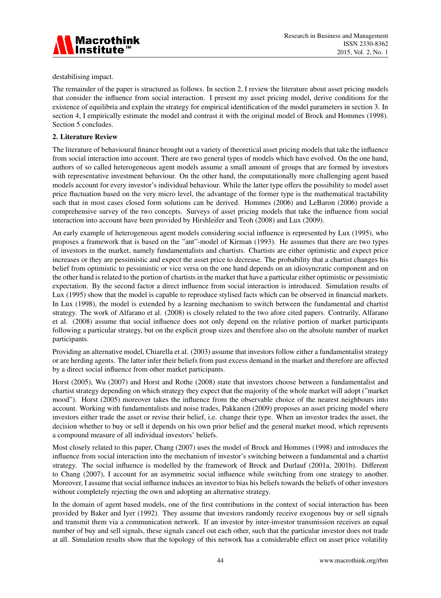

destabilising impact.

The remainder of the paper is structured as follows. In section 2, I review the literature about asset pricing models that consider the influence from social interaction. I present my asset pricing model, derive conditions for the existence of equilibria and explain the strategy for empirical identification of the model parameters in section 3. In section 4, I empirically estimate the model and contrast it with the original model of Brock and Hommes (1998). Section 5 concludes.

# 2. Literature Review

The literature of behavioural finance brought out a variety of theoretical asset pricing models that take the influence from social interaction into account. There are two general types of models which have evolved. On the one hand, authors of so called heterogeneous agent models assume a small amount of groups that are formed by investors with representative investment behaviour. On the other hand, the computationally more challenging agent based models account for every investor's individual behaviour. While the latter type offers the possibility to model asset price fluctuation based on the very micro level, the advantage of the former type is the mathematical tractability such that in most cases closed form solutions can be derived. Hommes (2006) and LeBaron (2006) provide a comprehensive survey of the two concepts. Surveys of asset pricing models that take the influence from social interaction into account have been provided by Hirshleifer and Teoh (2008) and Lux (2009).

An early example of heterogeneous agent models considering social influence is represented by Lux (1995), who proposes a framework that is based on the "ant"-model of Kirman (1993). He assumes that there are two types of investors in the market, namely fundamentalists and chartists. Chartists are either optimistic and expect price increases or they are pessimistic and expect the asset price to decrease. The probability that a chartist changes his belief from optimistic to pessimistic or vice versa on the one hand depends on an idiosyncratic component and on the other hand is related to the portion of chartists in the market that have a particular either optimistic or pessimistic expectation. By the second factor a direct influence from social interaction is introduced. Simulation results of Lux (1995) show that the model is capable to reproduce stylised facts which can be observed in financial markets. In Lux (1998), the model is extended by a learning mechanism to switch between the fundamental and chartist strategy. The work of Alfarano et al. (2008) is closely related to the two afore cited papers. Contrarily, Alfarano et al. (2008) assume that social influence does not only depend on the relative portion of market participants following a particular strategy, but on the explicit group sizes and therefore also on the absolute number of market participants.

Providing an alternative model, Chiarella et al. (2003) assume that investors follow either a fundamentalist strategy or are herding agents. The latter infer their beliefs from past excess demand in the market and therefore are affected by a direct social influence from other market participants.

Horst (2005), Wu (2007) and Horst and Rothe (2008) state that investors choose between a fundamentalist and chartist strategy depending on which strategy they expect that the majority of the whole market will adopt ("market mood"). Horst (2005) moreover takes the influence from the observable choice of the nearest neighbours into account. Working with fundamentalists and noise trades, Pakkanen (2009) proposes an asset pricing model where investors either trade the asset or revise their belief, i.e. change their type. When an investor trades the asset, the decision whether to buy or sell it depends on his own prior belief and the general market mood, which represents a compound measure of all individual investors' beliefs.

Most closely related to this paper, Chang (2007) uses the model of Brock and Hommes (1998) and introduces the influence from social interaction into the mechanism of investor's switching between a fundamental and a chartist strategy. The social influence is modelled by the framework of Brock and Durlauf (2001a, 2001b). Different to Chang (2007), I account for an asymmetric social influence while switching from one strategy to another. Moreover, I assume that social influence induces an investor to bias his beliefs towards the beliefs of other investors without completely rejecting the own and adopting an alternative strategy.

In the domain of agent based models, one of the first contributions in the context of social interaction has been provided by Baker and Iyer (1992). They assume that investors randomly receive exogenous buy or sell signals and transmit them via a communication network. If an investor by inter-investor transmission receives an equal number of buy and sell signals, these signals cancel out each other, such that the particular investor does not trade at all. Simulation results show that the topology of this network has a considerable effect on asset price volatility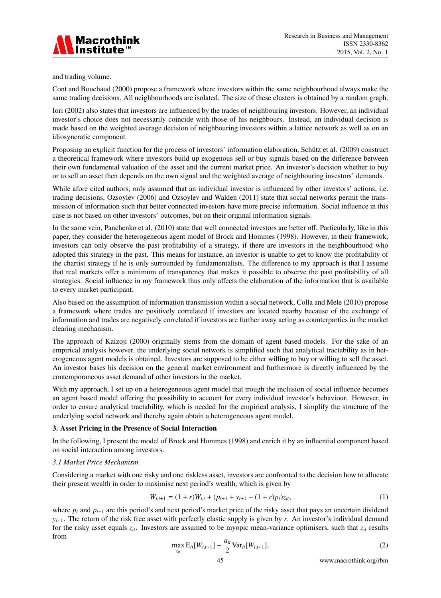

and trading volume.

Cont and Bouchaud (2000) propose a framework where investors within the same neighbourhood always make the same trading decisions. All neighbourhoods are isolated. The size of these clusters is obtained by a random graph.

Iori (2002) also states that investors are influenced by the trades of neighbouring investors. However, an individual investor's choice does not necessarily coincide with those of his neighbours. Instead, an individual decision is made based on the weighted average decision of neighbouring investors within a lattice network as well as on an idiosyncratic component.

Proposing an explicit function for the process of investors' information elaboration, Schütz et al. (2009) construct a theoretical framework where investors build up exogenous sell or buy signals based on the difference between their own fundamental valuation of the asset and the current market price. An investor's decision whether to buy or to sell an asset then depends on the own signal and the weighted average of neighbouring investors' demands.

While afore cited authors, only assumed that an individual investor is influenced by other investors' actions, i.e. trading decisions, Ozsoylev (2006) and Ozsoylev and Walden (2011) state that social networks permit the transmission of information such that better connected investors have more precise information. Social influence in this case is not based on other investors' outcomes, but on their original information signals.

In the same vein, Panchenko et al. (2010) state that well connected investors are better off. Particularly, like in this paper, they consider the heterogeneous agent model of Brock and Hommes (1998). However, in their framework, investors can only observe the past profitability of a strategy, if there are investors in the neighbourhood who adopted this strategy in the past. This means for instance, an investor is unable to get to know the profitability of the chartist strategy if he is only surrounded by fundamentalists. The difference to my approach is that I assume that real markets offer a minimum of transparency that makes it possible to observe the past profitability of all strategies. Social influence in my framework thus only affects the elaboration of the information that is available to every market participant.

Also based on the assumption of information transmission within a social network, Colla and Mele (2010) propose a framework where trades are positively correlated if investors are located nearby because of the exchange of information and trades are negatively correlated if investors are further away acting as counterparties in the market clearing mechanism.

The approach of Kaizoji (2000) originally stems from the domain of agent based models. For the sake of an empirical analysis however, the underlying social network is simplified such that analytical tractability as in heterogeneous agent models is obtained. Investors are supposed to be either willing to buy or willing to sell the asset. An investor bases his decision on the general market environment and furthermore is directly influenced by the contemporaneous asset demand of other investors in the market.

With my approach, I set up on a heterogeneous agent model that trough the inclusion of social influence becomes an agent based model offering the possibility to account for every individual investor's behaviour. However, in order to ensure analytical tractability, which is needed for the empirical analysis, I simplify the structure of the underlying social network and thereby again obtain a heterogeneous agent model.

## 3. Asset Pricing in the Presence of Social Interaction

In the following, I present the model of Brock and Hommes (1998) and enrich it by an influential component based on social interaction among investors.

## *3.1 Market Price Mechanism*

Considering a market with one risky and one riskless asset, investors are confronted to the decision how to allocate their present wealth in order to maximise next period's wealth, which is given by

$$
W_{i,t+1} = (1+r)W_{i,t} + (p_{t+1} + y_{t+1} - (1+r)p_t)z_{it},
$$
\n(1)

where  $p_t$  and  $p_{t+1}$  are this period's and next period's market price of the risky asset that pays an uncertain dividend  $y_{t+1}$ . The return of the risk free asset with perfectly elastic supply is given by *r*. An investor's individual demand for the risky asset equals  $z_i$ . Investors are assumed to be myopic mean-variance optimisers, such that  $z_i$  results from

$$
\max_{z_{it}} \mathbf{E}_{it}[W_{i,t+1}] - \frac{a_{it}}{2} \mathbf{Var}_{it}[W_{i,t+1}],
$$
\n(2)

45 www.macrothink.org/rbm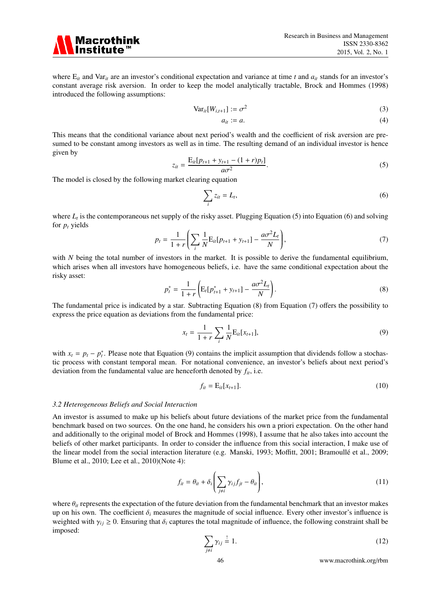

where  $E_{it}$  and Var<sub>*it*</sub> are an investor's conditional expectation and variance at time *t* and  $a_{it}$  stands for an investor's constant average risk aversion. In order to keep the model analytically tractable, Brock and Hommes (1998) introduced the following assumptions:

$$
Var_{it}[W_{i,t+1}] := \sigma^2
$$
\n(3)

$$
a_{it} := a. \tag{4}
$$

This means that the conditional variance about next period's wealth and the coefficient of risk aversion are presumed to be constant among investors as well as in time. The resulting demand of an individual investor is hence given by

$$
z_{it} = \frac{E_{it}[p_{t+1} + y_{t+1} - (1+r)p_t]}{a\sigma^2}.
$$
 (5)

The model is closed by the following market clearing equation

$$
\sum_{i} z_{it} = L_t, \tag{6}
$$

where  $L_t$  is the contemporaneous net supply of the risky asset. Plugging Equation (5) into Equation (6) and solving for  $p_t$  yields

$$
p_t = \frac{1}{1+r} \left( \sum_i \frac{1}{N} \mathbf{E}_{it} [p_{t+1} + y_{t+1}] - \frac{a \sigma^2 L_t}{N} \right),\tag{7}
$$

with *N* being the total number of investors in the market. It is possible to derive the fundamental equilibrium, which arises when all investors have homogeneous beliefs, i.e. have the same conditional expectation about the risky asset:

$$
p_t^* = \frac{1}{1+r} \left( \mathbf{E}_t[p_{t+1}^* + y_{t+1}] - \frac{a\sigma^2 L_t}{N} \right). \tag{8}
$$

The fundamental price is indicated by a star. Subtracting Equation (8) from Equation (7) offers the possibility to express the price equation as deviations from the fundamental price:

$$
x_{t} = \frac{1}{1+r} \sum_{i} \frac{1}{N} \mathbf{E}_{it}[x_{t+1}],
$$
\n(9)

with  $x_t = p_t - p_t^*$ . Please note that Equation (9) contains the implicit assumption that dividends follow a stochastic process with constant temporal mean. For notational convenience, an investor's beliefs about next period's deviation from the fundamental value are henceforth denoted by *fit*, i.e.

$$
f_{it} = \mathcal{E}_{it}[x_{t+1}].\tag{10}
$$

#### *3.2 Heterogeneous Beliefs and Social Interaction*

An investor is assumed to make up his beliefs about future deviations of the market price from the fundamental benchmark based on two sources. On the one hand, he considers his own a priori expectation. On the other hand and additionally to the original model of Brock and Hommes (1998), I assume that he also takes into account the beliefs of other market participants. In order to consider the influence from this social interaction, I make use of the linear model from the social interaction literature (e.g. Manski, 1993; Moffitt, 2001; Bramoullé et al., 2009; Blume et al., 2010; Lee et al., 2010)(Note 4):

$$
f_{it} = \theta_{it} + \delta_i \left( \sum_{j \neq i} \gamma_{ij} f_{jt} - \theta_{it} \right), \tag{11}
$$

where  $\theta_{it}$  represents the expectation of the future deviation from the fundamental benchmark that an investor makes up on his own. The coefficient  $\delta_i$  measures the magnitude of social influence. Every other investor's influence is weighted with  $\gamma_{ij} \geq 0$ . Ensuring that  $\delta_i$  captures the total magnitude of influence, the following constraint shall be imposed:

$$
\sum_{j\neq i} \gamma_{ij} \stackrel{!}{=} 1. \tag{12}
$$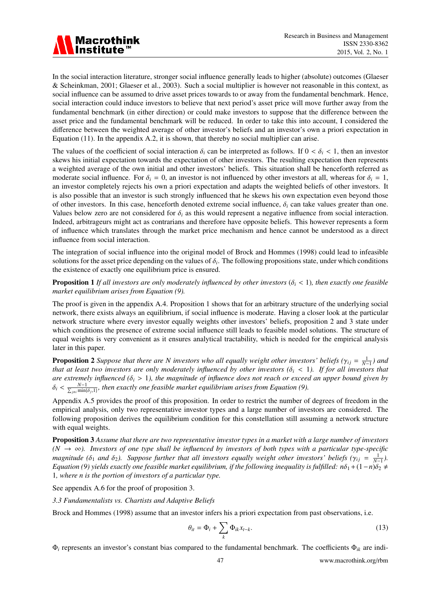

In the social interaction literature, stronger social influence generally leads to higher (absolute) outcomes (Glaeser & Scheinkman, 2001; Glaeser et al., 2003). Such a social multiplier is however not reasonable in this context, as social influence can be assumed to drive asset prices towards to or away from the fundamental benchmark. Hence, social interaction could induce investors to believe that next period's asset price will move further away from the fundamental benchmark (in either direction) or could make investors to suppose that the difference between the asset price and the fundamental benchmark will be reduced. In order to take this into account, I considered the difference between the weighted average of other investor's beliefs and an investor's own a priori expectation in Equation (11). In the appendix A.2, it is shown, that thereby no social multiplier can arise.

The values of the coefficient of social interaction  $\delta_i$  can be interpreted as follows. If  $0 < \delta_i < 1$ , then an investor skews his initial expectation towards the expectation of other investors. The resulting expectation then represents a weighted average of the own initial and other investors' beliefs. This situation shall be henceforth referred as moderate social influence. For  $\delta_i = 0$ , an investor is not influenced by other investors at all, whereas for  $\delta_i = 1$ , an investor completely rejects his own a priori expectation and adapts the weighted beliefs of other investors. It is also possible that an investor is such strongly influenced that he skews his own expectation even beyond those of other investors. In this case, henceforth denoted extreme social influence,  $\delta_i$  can take values greater than one. Values below zero are not considered for  $\delta_i$  as this would represent a negative influence from social interaction. Indeed, arbitrageurs might act as contrarians and therefore have opposite beliefs. This however represents a form of influence which translates through the market price mechanism and hence cannot be understood as a direct influence from social interaction.

The integration of social influence into the original model of Brock and Hommes (1998) could lead to infeasible solutions for the asset price depending on the values of  $\delta_i$ . The following propositions state, under which conditions the existence of exactly one equilibrium price is ensured.

**Proposition 1** *If all investors are only moderately influenced by other investors* ( $\delta_i$  < 1)*, then exactly one feasible market equilibrium arises from Equation (9).*

The proof is given in the appendix A.4. Proposition 1 shows that for an arbitrary structure of the underlying social network, there exists always an equilibrium, if social influence is moderate. Having a closer look at the particular network structure where every investor equally weights other investors' beliefs, proposition 2 and 3 state under which conditions the presence of extreme social influence still leads to feasible model solutions. The structure of equal weights is very convenient as it ensures analytical tractability, which is needed for the empirical analysis later in this paper.

**Proposition 2** Suppose that there are N investors who all equally weight other investors' beliefs ( $\gamma_{ij} = \frac{1}{N-1}$ ) and *that at least two investors are only moderately influenced by other investors (* $\delta_i$  *< 1). If for all investors that are extremely influenced (*δ*<sup>i</sup>* > 1*), the magnitude of influence does not reach or exceed an upper bound given by*  $\delta_i < \frac{N-1}{\sum_{j\neq i} \min\{\delta_j,1\}}$ , then exactly one feasible market equilibrium arises from Equation (9).

Appendix A.5 provides the proof of this proposition. In order to restrict the number of degrees of freedom in the empirical analysis, only two representative investor types and a large number of investors are considered. The following proposition derives the equilibrium condition for this constellation still assuming a network structure with equal weights.

Proposition 3 *Assume that there are two representative investor types in a market with a large number of investors (N* → ∞*). Investors of one type shall be influenced by investors of both types with a particular type-specific magnitude* ( $\delta_1$  *and*  $\delta_2$ ). Suppose further that all investors equally weight other investors' beliefs ( $\gamma_{ij} = \frac{1}{N-1}$ ). *Equation (9) yields exactly one feasible market equilibrium, if the following inequality is fulfilled: n*δ<sub>1</sub> +  $(1-n)\delta_2 \neq$ 1*, where n is the portion of investors of a particular type.*

See appendix A.6 for the proof of proposition 3.

*3.3 Fundamentalists vs. Chartists and Adaptive Beliefs*

Brock and Hommes (1998) assume that an investor infers his a priori expectation from past observations, i.e.

$$
\theta_{it} = \Phi_i + \sum_k \Phi_{ik} x_{t-k}.
$$
\n(13)

Φ*<sup>i</sup>* represents an investor's constant bias compared to the fundamental benchmark. The coefficients Φ*ik* are indi-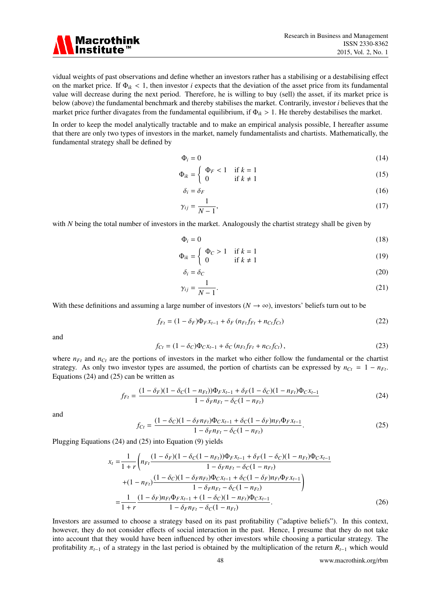

vidual weights of past observations and define whether an investors rather has a stabilising or a destabilising effect on the market price. If  $\Phi_{ik} < 1$ , then investor *i* expects that the deviation of the asset price from its fundamental value will decrease during the next period. Therefore, he is willing to buy (sell) the asset, if its market price is below (above) the fundamental benchmark and thereby stabilises the market. Contrarily, investor *i* believes that the market price further divagates from the fundamental equilibrium, if  $\Phi_{ik} > 1$ . He thereby destabilises the market.

In order to keep the model analytically tractable and to make an empirical analysis possible, I hereafter assume that there are only two types of investors in the market, namely fundamentalists and chartists. Mathematically, the fundamental strategy shall be defined by

$$
\Phi_i = 0 \tag{14}
$$

$$
\Phi_{ik} = \begin{cases} \Phi_F < 1 & \text{if } k = 1 \\ 0 & \text{if } k \neq 1 \end{cases} \tag{15}
$$

$$
\delta_i = \delta_F \tag{16}
$$

$$
\gamma_{ij} = \frac{1}{N-1},\tag{17}
$$

with *N* being the total number of investors in the market. Analogously the chartist strategy shall be given by

$$
\Phi_i = 0 \tag{18}
$$

$$
\Phi_{ik} = \begin{cases}\n\Phi_C > 1 & \text{if } k = 1 \\
0 & \text{if } k \neq 1\n\end{cases}\n\tag{19}
$$

$$
\delta_i = \delta_C \tag{20}
$$

$$
\gamma_{ij} = \frac{1}{N-1}.\tag{21}
$$

With these definitions and assuming a large number of investors ( $N \rightarrow \infty$ ), investors' beliefs turn out to be

$$
f_{Ft} = (1 - \delta_F)\Phi_F x_{t-1} + \delta_F (n_{Ft}f_{Ft} + n_{Ct}f_{Ct})
$$
\n
$$
(22)
$$

and

$$
f_{Ct} = (1 - \delta_C)\Phi_C x_{t-1} + \delta_C (n_{Ft}f_{Ft} + n_{Ct}f_{Ct}),
$$
\n(23)

where  $n_{Ft}$  and  $n_{Ct}$  are the portions of investors in the market who either follow the fundamental or the chartist strategy. As only two investor types are assumed, the portion of chartists can be expressed by  $n_{Ct} = 1 - n_{Ft}$ . Equations (24) and (25) can be written as

$$
f_{Ft} = \frac{(1 - \delta_F)(1 - \delta_C(1 - n_{Ft}))\Phi_F x_{t-1} + \delta_F(1 - \delta_C)(1 - n_{Ft})\Phi_C x_{t-1}}{1 - \delta_F n_{Ft} - \delta_C(1 - n_{Ft})}
$$
(24)

and

$$
f_{Ct} = \frac{(1 - \delta_C)(1 - \delta_F n_{Ft})\Phi_C x_{t-1} + \delta_C (1 - \delta_F) n_{Ft} \Phi_F x_{t-1}}{1 - \delta_F n_{Ft} - \delta_C (1 - n_{Ft})}.
$$
(25)

Plugging Equations (24) and (25) into Equation (9) yields

$$
x_{t} = \frac{1}{1+r} \left( n_{Ft} \frac{(1-\delta_{F})(1-\delta_{C}(1-n_{Ft}))\Phi_{F}x_{t-1} + \delta_{F}(1-\delta_{C})(1-n_{Ft})\Phi_{C}x_{t-1}}{1-\delta_{F}n_{Ft} - \delta_{C}(1-n_{Ft})} + (1-n_{Ft}) \frac{(1-\delta_{C})(1-\delta_{F}n_{Ft})\Phi_{C}x_{t-1} + \delta_{C}(1-\delta_{F})n_{Ft}\Phi_{F}x_{t-1}}{1-\delta_{F}n_{Ft} - \delta_{C}(1-n_{Ft})} \right)
$$

$$
= \frac{1}{1+r} \frac{(1-\delta_{F})n_{Ft}\Phi_{F}x_{t-1} + (1-\delta_{C})(1-n_{Ft})\Phi_{C}x_{t-1}}{1-\delta_{F}n_{Ft} - \delta_{C}(1-n_{Ft})}.
$$
(26)

Investors are assumed to choose a strategy based on its past profitability ("adaptive beliefs"). In this context, however, they do not consider effects of social interaction in the past. Hence, I presume that they do not take into account that they would have been influenced by other investors while choosing a particular strategy. The profitability  $\pi_{t-1}$  of a strategy in the last period is obtained by the multiplication of the return  $R_{t-1}$  which would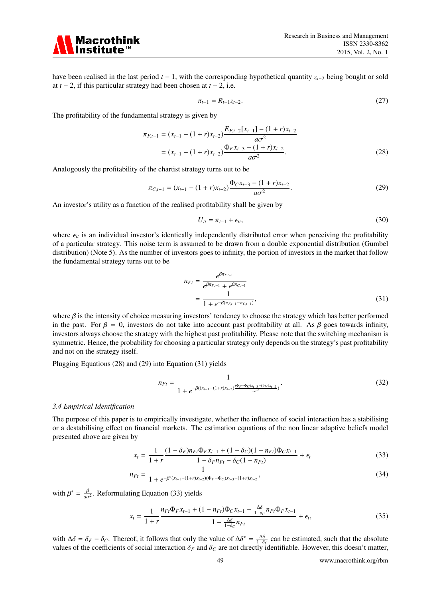

have been realised in the last period *t* − 1, with the corresponding hypothetical quantity *zt*−<sup>2</sup> being bought or sold at *t* − 2, if this particular strategy had been chosen at *t* − 2, i.e.

$$
\pi_{t-1} = R_{t-1} z_{t-2}.
$$
\n(27)

The profitability of the fundamental strategy is given by

$$
\pi_{F,t-1} = (x_{t-1} - (1+r)x_{t-2}) \frac{E_{F,t-2}[x_{t-1}] - (1+r)x_{t-2}}{a\sigma^2}
$$

$$
= (x_{t-1} - (1+r)x_{t-2}) \frac{\Phi_F x_{t-3} - (1+r)x_{t-2}}{a\sigma^2}.
$$
(28)

Analogously the profitability of the chartist strategy turns out to be

$$
\pi_{C,t-1} = (x_{t-1} - (1+r)x_{t-2}) \frac{\Phi_C x_{t-3} - (1+r)x_{t-2}}{a\sigma^2}.
$$
\n(29)

An investor's utility as a function of the realised profitability shall be given by

$$
U_{it} = \pi_{t-1} + \epsilon_{it},\tag{30}
$$

where  $\epsilon_{it}$  is an individual investor's identically independently distributed error when perceiving the profitability of a particular strategy. This noise term is assumed to be drawn from a double exponential distribution (Gumbel distribution) (Note 5). As the number of investors goes to infinity, the portion of investors in the market that follow the fundamental strategy turns out to be

$$
n_{Ft} = \frac{e^{\beta \pi_{F,t-1}}}{e^{\beta \pi_{F,t-1}} + e^{\beta \pi_{C,t-1}}}
$$
  
= 
$$
\frac{1}{1 + e^{-\beta (\pi_{F,t-1} - \pi_{C,t-1})}},
$$
(31)

where  $\beta$  is the intensity of choice measuring investors' tendency to choose the strategy which has better performed in the past. For  $\beta = 0$ , investors do not take into account past profitability at all. As  $\beta$  goes towards infinity, investors always choose the strategy with the highest past profitability. Please note that the switching mechanism is symmetric. Hence, the probability for choosing a particular strategy only depends on the strategy's past profitability and not on the strategy itself.

Plugging Equations (28) and (29) into Equation (31) yields

$$
n_{Ft} = \frac{1}{1 + e^{-\beta((x_{t-1} - (1+r)x_{t-2})\frac{(\Phi_F - \Phi_C)x_{t-3} - (1+r)x_{t-2}}{a\sigma^2})}}.
$$
(32)

#### *3.4 Empirical Identification*

The purpose of this paper is to empirically investigate, whether the influence of social interaction has a stabilising or a destabilising effect on financial markets. The estimation equations of the non linear adaptive beliefs model presented above are given by

$$
x_{t} = \frac{1}{1+r} \frac{(1-\delta_{F})n_{F} \Phi_{F} x_{t-1} + (1-\delta_{C})(1-n_{Ft}) \Phi_{C} x_{t-1}}{1-\delta_{F} n_{Ft} - \delta_{C} (1-n_{Ft})} + \epsilon_{t}
$$
(33)

$$
n_{Ft} = \frac{1}{1 + e^{-\beta^*(x_{t-1} - (1+r)x_{t-2})(\Phi_F - \Phi_C)x_{t-3} - (1+r)x_{t-2}}},\tag{34}
$$

with  $\beta^* = \frac{\beta}{a\sigma}$  $\frac{\beta}{a\sigma^2}$ . Reformulating Equation (33) yields

$$
x_{t} = \frac{1}{1+r} \frac{n_{Ft} \Phi_{F} x_{t-1} + (1 - n_{Ft}) \Phi_{C} x_{t-1} - \frac{\Delta \delta}{1 - \delta_{C}} n_{Ft} \Phi_{F} x_{t-1}}{1 - \frac{\Delta \delta}{1 - \delta_{C}} n_{Ft}} + \epsilon_{t},
$$
(35)

with  $\Delta \delta = \delta_F - \delta_C$ . Thereof, it follows that only the value of  $\Delta \delta^* = \frac{\Delta \delta}{1 - \delta_C}$  can be estimated, such that the absolute values of the coefficients of social interaction  $\delta_F$  and  $\delta_C$  are not directly identifiable. However, this doesn't matter,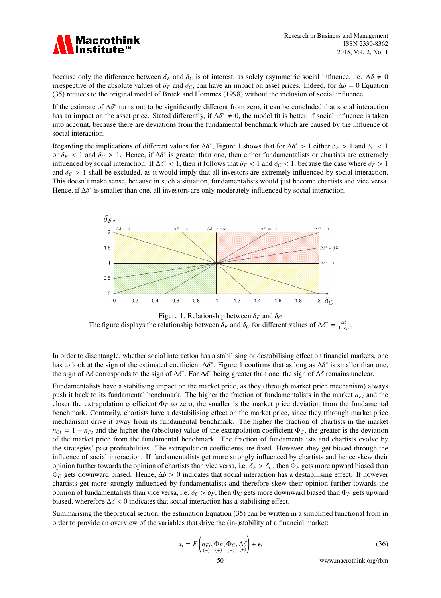

because only the difference between  $\delta_F$  and  $\delta_C$  is of interest, as solely asymmetric social influence, i.e.  $\Delta \delta \neq 0$ irrespective of the absolute values of  $\delta_F$  and  $\delta_C$ , can have an impact on asset prices. Indeed, for  $\Delta \delta = 0$  Equation (35) reduces to the original model of Brock and Hommes (1998) without the inclusion of social influence.

If the estimate of  $\Delta \delta^*$  turns out to be significantly different from zero, it can be concluded that social interaction has an impact on the asset price. Stated differently, if  $\Delta \delta^* \neq 0$ , the model fit is better, if social influence is taken into account, because there are deviations from the fundamental benchmark which are caused by the influence of social interaction.

Regarding the implications of different values for  $\Delta \delta^*$ , Figure 1 shows that for  $\Delta \delta^* > 1$  either  $\delta_F > 1$  and  $\delta_C < 1$ or  $\delta_F$  < 1 and  $\delta_C$  > 1. Hence, if  $\Delta \delta^*$  is greater than one, then either fundamentalists or chartists are extremely influenced by social interaction. If  $\Delta \delta^* < 1$ , then it follows that  $\delta_F < 1$  and  $\delta_C < 1$ , because the case where  $\delta_F > 1$ and  $\delta_C > 1$  shall be excluded, as it would imply that all investors are extremely influenced by social interaction. This doesn't make sense, because in such a situation, fundamentalists would just become chartists and vice versa. Hence, if  $\Delta \delta^*$  is smaller than one, all investors are only moderately influenced by social interaction.



Figure 1. Relationship between  $\delta_F$  and  $\delta_C$ The figure displays the relationship between  $\delta_F$  and  $\delta_C$  for different values of  $\Delta \delta^* = \frac{\Delta \delta}{1-\delta_C}$ .

In order to disentangle, whether social interaction has a stabilising or destabilising effect on financial markets, one has to look at the sign of the estimated coefficient  $\Delta \delta^*$ . Figure 1 confirms that as long as  $\Delta \delta^*$  is smaller than one, the sign of  $\Delta\delta$  corresponds to the sign of  $\Delta\delta^*$ . For  $\Delta\delta^*$  being greater than one, the sign of  $\Delta\delta$  remains unclear.

Fundamentalists have a stabilising impact on the market price, as they (through market price mechanism) always push it back to its fundamental benchmark. The higher the fraction of fundamentalists in the market *nFt* and the closer the extrapolation coefficient  $\Phi_F$  to zero, the smaller is the market price deviation from the fundamental benchmark. Contrarily, chartists have a destabilising effect on the market price, since they (through market price mechanism) drive it away from its fundamental benchmark. The higher the fraction of chartists in the market  $n_{Ct} = 1 - n_{Ft}$  and the higher the (absolute) value of the extrapolation coefficient  $\Phi_C$ , the greater is the deviation of the market price from the fundamental benchmark. The fraction of fundamentalists and chartists evolve by the strategies' past profitabilities. The extrapolation coefficients are fixed. However, they get biased through the influence of social interaction. If fundamentalists get more strongly influenced by chartists and hence skew their opinion further towards the opinion of chartists than vice versa, i.e.  $\delta_F > \delta_C$ , then  $\Phi_F$  gets more upward biased than  $\Phi_C$  gets downward biased. Hence,  $\Delta \delta > 0$  indicates that social interaction has a destabilising effect. If however chartists get more strongly influenced by fundamentalists and therefore skew their opinion further towards the opinion of fundamentalists than vice versa, i.e.  $\delta_C > \delta_F$ , then  $\Phi_C$  gets more downward biased than  $\Phi_F$  gets upward biased, wherefore  $\Delta \delta$  < 0 indicates that social interaction has a stabilising effect.

Summarising the theoretical section, the estimation Equation (35) can be written in a simplified functional from in order to provide an overview of the variables that drive the (in-)stability of a financial market:

$$
x_t = F\left(\underset{\left(-\right)}{n_{Ft}}, \Phi_F, \Phi_C, \Delta \delta\right) + \epsilon_t \tag{36}
$$

50 www.macrothink.org/rbm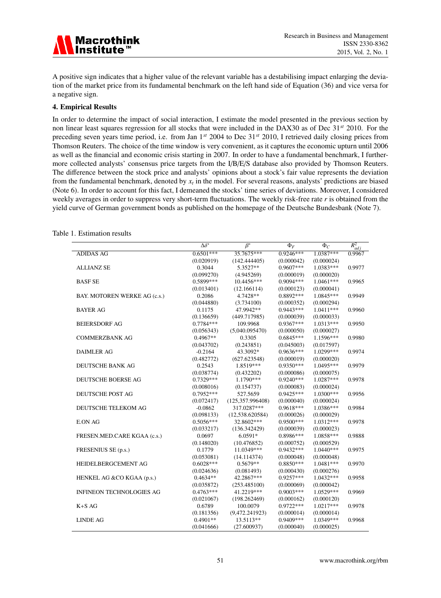

A positive sign indicates that a higher value of the relevant variable has a destabilising impact enlarging the deviation of the market price from its fundamental benchmark on the left hand side of Equation (36) and vice versa for a negative sign.

# 4. Empirical Results

In order to determine the impact of social interaction, I estimate the model presented in the previous section by non linear least squares regression for all stocks that were included in the DAX30 as of Dec 31*st* 2010. For the preceding seven years time period, i.e. from Jan 1*st* 2004 to Dec 31*st* 2010, I retrieved daily closing prices from Thomson Reuters. The choice of the time window is very convenient, as it captures the economic upturn until 2006 as well as the financial and economic crisis starting in 2007. In order to have a fundamental benchmark, I furthermore collected analysts' consensus price targets from the I/B/E/S database also provided by Thomson Reuters. The difference between the stock price and analysts' opinions about a stock's fair value represents the deviation from the fundamental benchmark, denoted by  $x_t$  in the model. For several reasons, analysts' predictions are biased (Note 6). In order to account for this fact, I demeaned the stocks' time series of deviations. Moreover, I considered weekly averages in order to suppress very short-term fluctuations. The weekly risk-free rate *r* is obtained from the yield curve of German government bonds as published on the homepage of the Deutsche Bundesbank (Note 7).

|                              | $\Delta \delta^*$ | $\overline{\beta^*}$ | $\Phi_F$    | $\Phi_C$    | $R_{adj}^2$ |
|------------------------------|-------------------|----------------------|-------------|-------------|-------------|
| <b>ADIDAS AG</b>             | $0.6501***$       | 35.7675***           | $0.9246***$ | $1.0387***$ | 0.9967      |
|                              | (0.020919)        | (142.444405)         | (0.000042)  | (0.000024)  |             |
| <b>ALLIANZ SE</b>            | 0.3044            | 5.3527**             | $0.9607***$ | $1.0383***$ | 0.9977      |
|                              | (0.099270)        | (4.945269)           | (0.000019)  | (0.000020)  |             |
| <b>BASF SE</b>               | 0.5899***         | 10.4456***           | $0.9094***$ | $1.0461***$ | 0.9965      |
|                              | (0.013401)        | (12.166114)          | (0.000123)  | (0.000041)  |             |
| BAY. MOTOREN WERKE AG (c.s.) | 0.2086            | 4.7428**             | 0.8892***   | 1.0845***   | 0.9949      |
|                              | (0.044880)        | (3.734100)           | (0.000352)  | (0.000294)  |             |
| <b>BAYER AG</b>              | 0.1175            | 47.9942**            | $0.9443***$ | $1.0411***$ | 0.9960      |
|                              | (0.136659)        | (449.717985)         | (0.000039)  | (0.000033)  |             |
| <b>BEIERSDORF AG</b>         | $0.7784***$       | 109.9968             | $0.9367***$ | 1.0313***   | 0.9950      |
|                              | (0.056343)        | (5,040.095470)       | (0.000050)  | (0.000027)  |             |
| <b>COMMERZBANK AG</b>        | $0.4967**$        | 0.3305               | $0.6845***$ | 1.1596***   | 0.9980      |
|                              | (0.043702)        | (0.243851)           | (0.045003)  | (0.017597)  |             |
| <b>DAIMLER AG</b>            | $-0.2164$         | 43.3092*             | $0.9636***$ | 1.0299***   | 0.9974      |
|                              | (0.482772)        | (627.623548)         | (0.000019)  | (0.000020)  |             |
| <b>DEUTSCHE BANK AG</b>      | 0.2543            | 1.8519***            | $0.9350***$ | 1.0495***   | 0.9979      |
|                              | (0.038774)        | (0.432202)           | (0.000086)  | (0.000075)  |             |
| <b>DEUTSCHE BOERSE AG</b>    | $0.7329***$       | 1.1790***            | $0.9240***$ | $1.0287***$ | 0.9978      |
|                              | (0.008016)        | (0.154737)           | (0.000083)  | (0.000024)  |             |
| <b>DEUTSCHE POST AG</b>      | $0.7952***$       | 527.5659             | $0.9425***$ | 1.0300***   | 0.9956      |
|                              | (0.072417)        | (125, 357.996408)    | (0.000040)  | (0.000024)  |             |
| <b>DEUTSCHE TELEKOM AG</b>   | $-0.0862$         | 317.0287***          | $0.9618***$ | 1.0386***   | 0.9984      |
|                              | (0.098133)        | (12,538.620584)      | (0.000026)  | (0.000029)  |             |
| <b>E.ON AG</b>               | $0.5056***$       | 32.8602***           | $0.9500***$ | $1.0312***$ | 0.9978      |
|                              | (0.033217)        | (136.342429)         | (0.000039)  | (0.000023)  |             |
| FRESEN.MED.CARE KGAA (c.s.)  | 0.0697            | 6.0591*              | 0.8986***   | 1.0858***   | 0.9888      |
|                              | (0.148020)        | (10.476852)          | (0.000752)  | (0.000529)  |             |
| FRESENIUS SE (p.s.)          | 0.1779            | 11.0349***           | $0.9432***$ | $1.0440***$ | 0.9975      |
|                              | (0.053081)        | (14.114374)          | (0.000048)  | (0.000048)  |             |
| HEIDELBERGCEMENT AG          | $0.6028***$       | $0.5679**$           | $0.8850***$ | 1.0481***   | 0.9970      |
|                              | (0.024636)        | (0.081493)           | (0.000430)  | (0.000276)  |             |
| HENKEL AG &CO KGAA (p.s.)    | $0.4634**$        | 42.2867***           | $0.9257***$ | 1.0432***   | 0.9958      |
|                              | (0.035872)        | (253.485100)         | (0.000069)  | (0.000042)  |             |
| INFINEON TECHNOLOGIES AG     | $0.4763***$       | 41.2219***           | $0.9003***$ | 1.0529***   | 0.9969      |
|                              | (0.021067)        | (198.262469)         | (0.000162)  | (0.000120)  |             |
| $K + S AG$                   | 0.6789            | 100.0079             | $0.9722***$ | $1.0217***$ | 0.9978      |
|                              | (0.181356)        | (9,472,241923)       | (0.000014)  | (0.000014)  |             |
| <b>LINDE AG</b>              | $0.4901**$        | 13.5113**            | $0.9409***$ | 1.0349***   | 0.9968      |
|                              | (0.041666)        | (27.600937)          | (0.000040)  | (0.000025)  |             |

#### Table 1. Estimation results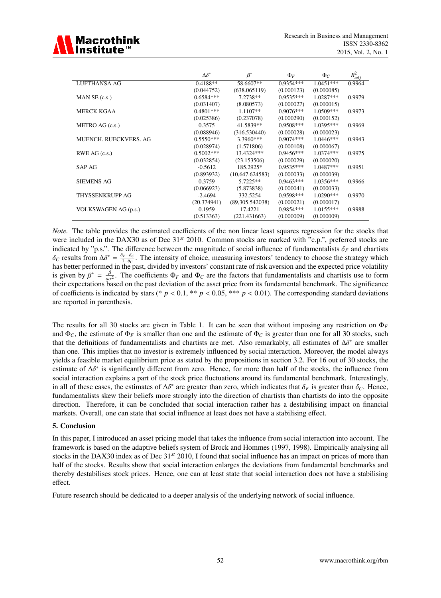

|                       | $\Delta \delta^*$ | $\beta^*$       | $\Phi_F$    | $\Phi_C$    | $R_{adj}^2$ |
|-----------------------|-------------------|-----------------|-------------|-------------|-------------|
| LUFTHANSA AG          | $0.4188**$        | 58.6607**       | $0.9354***$ | $1.0451***$ | 0.9964      |
|                       | (0.044752)        | (638.065119)    | (0.000123)  | (0.000085)  |             |
| MAN SE (c.s.)         | $0.6584***$       | 7.2738**        | $0.9535***$ | $1.0287***$ | 0.9979      |
|                       | (0.031407)        | (8.080573)      | (0.000027)  | (0.000015)  |             |
| MERCK KGAA            | $0.4801***$       | $1.1107**$      | $0.9076***$ | $1.0509***$ | 0.9973      |
|                       | (0.025386)        | (0.237078)      | (0.000290)  | (0.000152)  |             |
| METRO AG (c.s.)       | 0.3575            | 41.5839**       | $0.9508***$ | $1.0395***$ | 0.9969      |
|                       | (0.088946)        | (316.530440)    | (0.000028)  | (0.000023)  |             |
| MUENCH. RUECKVERS. AG | $0.5550***$       | $3.3960***$     | $0.9074***$ | $1.0446***$ | 0.9943      |
|                       | (0.028974)        | (1.571806)      | (0.000108)  | (0.000067)  |             |
| RWE AG $(c.s.)$       | $0.5002***$       | 13.4324***      | $0.9456***$ | $1.0374***$ | 0.9975      |
|                       | (0.032854)        | (23.153506)     | (0.000029)  | (0.000020)  |             |
| SAP AG                | $-0.5612$         | 185.2925*       | $0.9535***$ | $1.0487***$ | 0.9951      |
|                       | (0.893932)        | (10,647.624583) | (0.000033)  | (0.000039)  |             |
| <b>SIEMENS AG</b>     | 0.3759            | $5.7225**$      | $0.9463***$ | $1.0356***$ | 0.9966      |
|                       | (0.066923)        | (5.873838)      | (0.000041)  | (0.000033)  |             |
| THYSSENKRUPP AG       | $-2.4694$         | 332.5254        | $0.9598***$ | $1.0290***$ | 0.9970      |
|                       | (20.374941)       | (89,305.542038) | (0.000021)  | (0.000017)  |             |
| VOLKSWAGEN AG (p.s.)  | 0.1959            | 17.4221         | $0.9854***$ | $1.0155***$ | 0.9988      |
|                       | (0.513363)        | (221.431663)    | (0.000009)  | (0.000009)  |             |

*Note.* The table provides the estimated coefficients of the non linear least squares regression for the stocks that were included in the DAX30 as of Dec 31*st* 2010. Common stocks are marked with "c.p.", preferred stocks are indicated by "p.s.". The difference between the magnitude of social influence of fundamentalists  $\delta_F$  and chartists  $\delta_C$  results from  $\Delta \delta^* = \frac{\delta_F - \delta_C}{1 - \delta_C}$ . The intensity of choice, measuring investors' tendency to choose the strategy which has better performed in the past, divided by investors' constant rate of risk aversion and the expected price volatility is given by  $\beta^* = \frac{\beta}{\alpha \sigma}$  $\frac{\beta}{a\sigma^2}$ . The coefficients  $\Phi_F$  and  $\Phi_C$  are the factors that fundamentalists and chartists use to form their expectations based on the past deviation of the asset price from its fundamental benchmark. The significance of coefficients is indicated by stars (\*  $p < 0.1$ , \*\*  $p < 0.05$ , \*\*\*  $p < 0.01$ ). The corresponding standard deviations are reported in parenthesis.

The results for all 30 stocks are given in Table 1. It can be seen that without imposing any restriction on Φ*<sup>F</sup>* and  $\Phi_C$ , the estimate of  $\Phi_F$  is smaller than one and the estimate of  $\Phi_C$  is greater than one for all 30 stocks, such that the definitions of fundamentalists and chartists are met. Also remarkably, all estimates of  $\Delta \delta^*$  are smaller than one. This implies that no investor is extremely influenced by social interaction. Moreover, the model always yields a feasible market equilibrium price as stated by the propositions in section 3.2. For 16 out of 30 stocks, the estimate of  $\Delta \delta^*$  is significantly different from zero. Hence, for more than half of the stocks, the influence from social interaction explains a part of the stock price fluctuations around its fundamental benchmark. Interestingly, in all of these cases, the estimates of  $\Delta \delta^*$  are greater than zero, which indicates that  $\delta_F$  is greater than  $\delta_C$ . Hence, fundamentalists skew their beliefs more strongly into the direction of chartists than chartists do into the opposite direction. Therefore, it can be concluded that social interaction rather has a destabilising impact on financial markets. Overall, one can state that social influence at least does not have a stabilising effect.

## 5. Conclusion

In this paper, I introduced an asset pricing model that takes the influence from social interaction into account. The framework is based on the adaptive beliefs system of Brock and Hommes (1997, 1998). Empirically analysing all stocks in the DAX30 index as of Dec 31*st* 2010, I found that social influence has an impact on prices of more than half of the stocks. Results show that social interaction enlarges the deviations from fundamental benchmarks and thereby destabilises stock prices. Hence, one can at least state that social interaction does not have a stabilising effect.

Future research should be dedicated to a deeper analysis of the underlying network of social influence.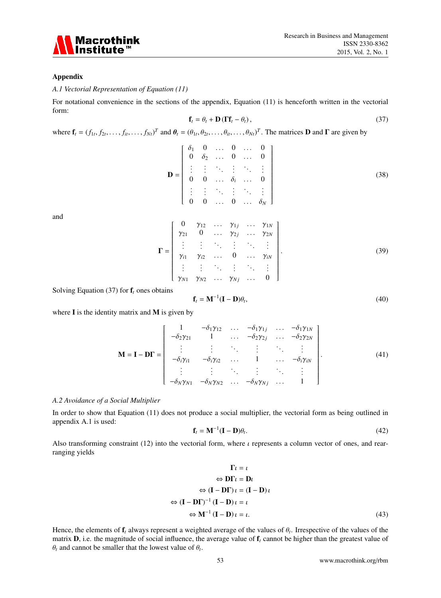

## Appendix

*A.1 Vectorial Representation of Equation (11)*

For notational convenience in the sections of the appendix, Equation (11) is henceforth written in the vectorial form:

$$
\mathbf{f}_t = \theta_t + \mathbf{D}(\mathbf{\Gamma} \mathbf{f}_t - \theta_t), \tag{37}
$$

where  $\mathbf{f}_t = (f_{1t}, f_{2t}, \dots, f_{it}, \dots, f_{Nt})^T$  and  $\theta_t = (\theta_{1t}, \theta_{2t}, \dots, \theta_{it}, \dots, \theta_{Nt})^T$ . The matrices **D** and **Γ** are given by

$$
\mathbf{D} = \begin{bmatrix} \delta_1 & 0 & \dots & 0 & \dots & 0 \\ 0 & \delta_2 & \dots & 0 & \dots & 0 \\ \vdots & \vdots & \ddots & \vdots & \ddots & \vdots \\ 0 & 0 & \dots & \delta_i & \dots & 0 \\ \vdots & \vdots & \ddots & \vdots & \ddots & \vdots \\ 0 & 0 & \dots & 0 & \dots & \delta_N \end{bmatrix}
$$
 (38)

and

$$
\mathbf{\Gamma} = \begin{bmatrix} 0 & \gamma_{12} & \dots & \gamma_{1j} & \dots & \gamma_{1N} \\ \gamma_{21} & 0 & \dots & \gamma_{2j} & \dots & \gamma_{2N} \\ \vdots & \vdots & \ddots & \vdots & \ddots & \vdots \\ \gamma_{i1} & \gamma_{i2} & \dots & 0 & \dots & \gamma_{iN} \\ \vdots & \vdots & \ddots & \vdots & \ddots & \vdots \\ \gamma_{N1} & \gamma_{N2} & \dots & \gamma_{Nj} & \dots & 0 \end{bmatrix} .
$$
 (39)

Solving Equation (37) for  $f_t$  ones obtains

$$
\mathbf{f}_t = \mathbf{M}^{-1}(\mathbf{I} - \mathbf{D})\theta_t,\tag{40}
$$

where  $\bf{I}$  is the identity matrix and  $\bf{M}$  is given by

$$
\mathbf{M} = \mathbf{I} - \mathbf{D}\mathbf{\Gamma} = \begin{bmatrix} 1 & -\delta_1 \gamma_{12} & \dots & -\delta_1 \gamma_{1j} & \dots & -\delta_1 \gamma_{1N} \\ -\delta_2 \gamma_{21} & 1 & \dots & -\delta_2 \gamma_{2j} & \dots & -\delta_2 \gamma_{2N} \\ \vdots & \vdots & \ddots & \vdots & \ddots & \vdots \\ -\delta_i \gamma_{i1} & -\delta_i \gamma_{i2} & \dots & 1 & \dots & -\delta_i \gamma_{iN} \\ \vdots & \vdots & \ddots & \vdots & \ddots & \vdots \\ -\delta_N \gamma_{N1} & -\delta_N \gamma_{N2} & \dots & -\delta_N \gamma_{Nj} & \dots & 1 \end{bmatrix} . \tag{41}
$$

### *A.2 Avoidance of a Social Multiplier*

In order to show that Equation (11) does not produce a social multiplier, the vectorial form as being outlined in appendix A.1 is used:

$$
\mathbf{f}_t = \mathbf{M}^{-1}(\mathbf{I} - \mathbf{D})\theta_t.
$$
 (42)

Also transforming constraint (12) into the vectorial form, where  $\iota$  represents a column vector of ones, and rearranging yields

$$
\Gamma \iota = \iota
$$
  
\n
$$
\Leftrightarrow \mathbf{D}\Gamma \iota = \mathbf{D}\iota
$$
  
\n
$$
\Leftrightarrow (\mathbf{I} - \mathbf{D}\Gamma)\iota = (\mathbf{I} - \mathbf{D})\iota
$$
  
\n
$$
\Leftrightarrow (\mathbf{I} - \mathbf{D}\Gamma)^{-1} (\mathbf{I} - \mathbf{D})\iota = \iota
$$
  
\n
$$
\Leftrightarrow \mathbf{M}^{-1} (\mathbf{I} - \mathbf{D})\iota = \iota.
$$
 (43)

Hence, the elements of  $f_t$  always represent a weighted average of the values of  $\theta_t$ . Irrespective of the values of the matrix  $D$ , i.e. the magnitude of social influence, the average value of  $f_t$  cannot be higher than the greatest value of  $\theta_t$  and cannot be smaller that the lowest value of  $\theta_t$ .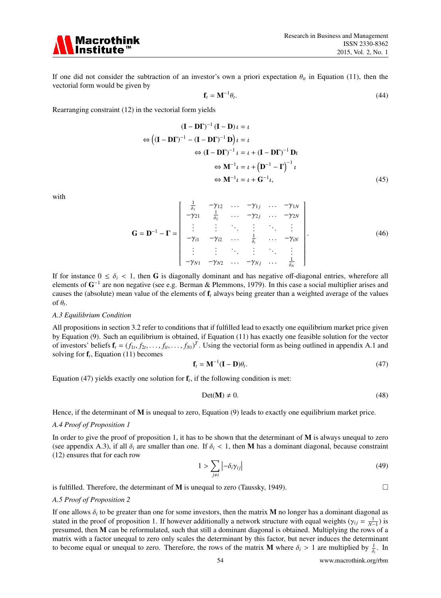

If one did not consider the subtraction of an investor's own a priori expectation  $\theta_{it}$  in Equation (11), then the vectorial form would be given by

$$
\mathbf{f}_t = \mathbf{M}^{-1} \theta_t. \tag{44}
$$

Rearranging constraint (12) in the vectorial form yields

$$
(\mathbf{I} - \mathbf{D}\mathbf{\Gamma})^{-1} (\mathbf{I} - \mathbf{D}) \iota = \iota
$$
  
\n
$$
\Leftrightarrow ((\mathbf{I} - \mathbf{D}\mathbf{\Gamma})^{-1} - (\mathbf{I} - \mathbf{D}\mathbf{\Gamma})^{-1} \mathbf{D}) \iota = \iota
$$
  
\n
$$
\Leftrightarrow (\mathbf{I} - \mathbf{D}\mathbf{\Gamma})^{-1} \iota = \iota + (\mathbf{I} - \mathbf{D}\mathbf{\Gamma})^{-1} \mathbf{D}\iota
$$
  
\n
$$
\Leftrightarrow \mathbf{M}^{-1} \iota = \iota + (\mathbf{D}^{-1} - \mathbf{\Gamma})^{-1} \iota
$$
  
\n
$$
\Leftrightarrow \mathbf{M}^{-1} \iota = \iota + \mathbf{G}^{-1} \iota,
$$
\n(45)

with

$$
\mathbf{G} = \mathbf{D}^{-1} - \mathbf{\Gamma} = \begin{bmatrix} \frac{1}{\delta_1} & -\gamma_{12} & \cdots & -\gamma_{1j} & \cdots & -\gamma_{1N} \\ -\gamma_{21} & \frac{1}{\delta_2} & \cdots & -\gamma_{2j} & \cdots & -\gamma_{2N} \\ \vdots & \vdots & \ddots & \vdots & \ddots & \vdots \\ -\gamma_{i1} & -\gamma_{i2} & \cdots & \frac{1}{\delta_i} & \cdots & -\gamma_{iN} \\ \vdots & \vdots & \ddots & \vdots & \ddots & \vdots \\ -\gamma_{N1} & -\gamma_{N2} & \cdots & -\gamma_{Nj} & \cdots & \frac{1}{\delta_N} \end{bmatrix} .
$$
 (46)

If for instance  $0 \le \delta_i < 1$ , then G is diagonally dominant and has negative off-diagonal entries, wherefore all elements of G<sup>-1</sup> are non negative (see e.g. Berman & Plemmons, 1979). In this case a social multiplier arises and causes the (absolute) mean value of the elements of  $f_t$  always being greater than a weighted average of the values of  $\theta_t$ .

#### *A.3 Equilibrium Condition*

All propositions in section 3.2 refer to conditions that if fulfilled lead to exactly one equilibrium market price given by Equation (9). Such an equilibrium is obtained, if Equation (11) has exactly one feasible solution for the vector of investors' beliefs  $\mathbf{f}_t = (f_{1t}, f_{2t}, \dots, f_{it}, \dots, f_{Nt})^T$ . Using the vectorial form as being outlined in appendix A.1 and solving for  $f_t$ , Equation (11) becomes

$$
\mathbf{f}_t = \mathbf{M}^{-1}(\mathbf{I} - \mathbf{D})\theta_t.
$$
 (47)

Equation  $(47)$  yields exactly one solution for  $f_t$ , if the following condition is met:

$$
Det(M) \neq 0. \tag{48}
$$

Hence, if the determinant of  $M$  is unequal to zero, Equation (9) leads to exactly one equilibrium market price.

#### *A.4 Proof of Proposition 1*

In order to give the proof of proposition 1, it has to be shown that the determinant of  $M$  is always unequal to zero (see appendix A.3), if all  $\delta_i$  are smaller than one. If  $\delta_i < 1$ , then M has a dominant diagonal, because constraint (12) ensures that for each row

$$
1 > \sum_{j \neq i} \left| -\delta_i \gamma_{ij} \right| \tag{49}
$$

is fulfilled. Therefore, the determinant of **M** is unequal to zero (Taussky, 1949).  $\Box$ 

#### *A.5 Proof of Proposition 2*

If one allows  $\delta_i$  to be greater than one for some investors, then the matrix **M** no longer has a dominant diagonal as stated in the proof of proposition 1. If however additionally a network structure with equal weights ( $\gamma_{ij} = \frac{1}{N-1}$ ) is presumed, then M can be reformulated, such that still a dominant diagonal is obtained. Multiplying the rows of a matrix with a factor unequal to zero only scales the determinant by this factor, but never induces the determinant to become equal or unequal to zero. Therefore, the rows of the matrix **M** where  $\delta_i > 1$  are multiplied by  $\frac{1}{\delta_i}$ . In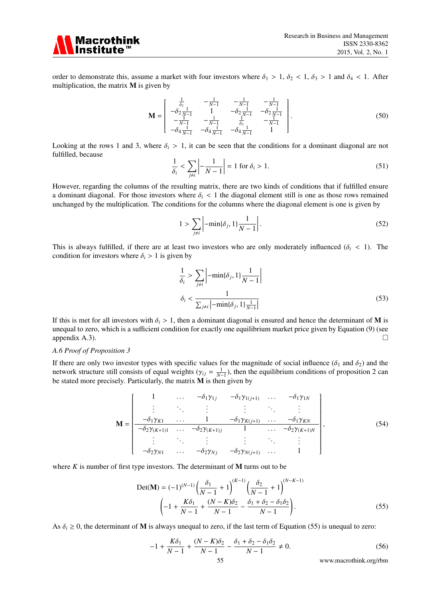

order to demonstrate this, assume a market with four investors where  $\delta_1 > 1$ ,  $\delta_2 < 1$ ,  $\delta_3 > 1$  and  $\delta_4 < 1$ . After multiplication, the matrix  $M$  is given by

$$
\mathbf{M} = \begin{bmatrix} \frac{1}{\delta_1} & -\frac{1}{N-1} & -\frac{1}{N-1} & -\frac{1}{N-1} \\ -\delta_2 \frac{1}{N-1} & 1 & -\delta_2 \frac{1}{N-1} & -\delta_2 \frac{1}{N-1} \\ -\frac{1}{N-1} & -\frac{1}{N-1} & \frac{1}{\delta_3} & -\frac{1}{N-1} \\ -\delta_4 \frac{1}{N-1} & -\delta_4 \frac{1}{N-1} & -\delta_4 \frac{1}{N-1} & 1 \end{bmatrix}.
$$
 (50)

Looking at the rows 1 and 3, where  $\delta_i > 1$ , it can be seen that the conditions for a dominant diagonal are not fulfilled, because

$$
\frac{1}{\delta_i} < \sum_{j \neq i} \left| -\frac{1}{N-1} \right| = 1 \text{ for } \delta_i > 1. \tag{51}
$$

However, regarding the columns of the resulting matrix, there are two kinds of conditions that if fulfilled ensure a dominant diagonal. For those investors where  $\delta_i$  < 1 the diagonal element still is one as those rows remained unchanged by the multiplication. The conditions for the columns where the diagonal element is one is given by

$$
1 > \sum_{j \neq i} \left| -\min\{\delta_j, 1\} \frac{1}{N - 1} \right|.
$$
 (52)

This is always fulfilled, if there are at least two investors who are only moderately influenced ( $\delta_i$  < 1). The condition for investors where  $\delta_i > 1$  is given by

$$
\frac{1}{\delta_i} > \sum_{j \neq i} \left| -\min\{\delta_j, 1\} \frac{1}{N-1} \right|
$$
\n
$$
\delta_i < \frac{1}{\sum_{j \neq i} \left| -\min\{\delta_j, 1\} \frac{1}{N-1} \right|} \tag{53}
$$

If this is met for all investors with  $\delta_i > 1$ , then a dominant diagonal is ensured and hence the determinant of **M** is unequal to zero, which is a sufficient condition for exactly one equilibrium market price given by Equation (9) (see appendix A.3).

#### *A.6 Proof of Proposition 3*

If there are only two investor types with specific values for the magnitude of social influence ( $\delta_1$  and  $\delta_2$ ) and the network structure still consists of equal weights ( $\gamma_{ij} = \frac{1}{N-1}$ ), then the equilibrium conditions of proposition 2 can be stated more precisely. Particularly, the matrix M is then given by

$$
\mathbf{M} = \begin{bmatrix} 1 & \cdots & -\delta_1 \gamma_{1j} & -\delta_1 \gamma_{1(j+1)} & \cdots & -\delta_1 \gamma_{1N} \\ \vdots & \ddots & \vdots & \vdots & \ddots & \vdots \\ -\delta_1 \gamma_{K1} & \cdots & 1 & -\delta_1 \gamma_{K(j+1)} & \cdots & -\delta_1 \gamma_{KN} \\ -\delta_2 \gamma_{(K+1)1} & \cdots & -\delta_2 \gamma_{(K+1)j} & 1 & \cdots & -\delta_2 \gamma_{(K+1)N} \\ \vdots & \ddots & \vdots & \vdots & \ddots & \vdots \\ -\delta_2 \gamma_{N1} & \cdots & -\delta_2 \gamma_{Nj} & -\delta_2 \gamma_{N(j+1)} & \cdots & 1 \end{bmatrix},
$$
(54)

where  $K$  is number of first type investors. The determinant of  $M$  turns out to be

$$
Det(\mathbf{M}) = (-1)^{(N-1)} \left(\frac{\delta_1}{N-1} + 1\right)^{(K-1)} \left(\frac{\delta_2}{N-1} + 1\right)^{(N-K-1)}
$$

$$
\left(-1 + \frac{K\delta_1}{N-1} + \frac{(N-K)\delta_2}{N-1} - \frac{\delta_1 + \delta_2 - \delta_1 \delta_2}{N-1}\right).
$$
(55)

As  $\delta_i \geq 0$ , the determinant of **M** is always unequal to zero, if the last term of Equation (55) is unequal to zero:

$$
-1 + \frac{K\delta_1}{N-1} + \frac{(N-K)\delta_2}{N-1} - \frac{\delta_1 + \delta_2 - \delta_1\delta_2}{N-1} \neq 0.
$$
 (56)

55 www.macrothink.org/rbm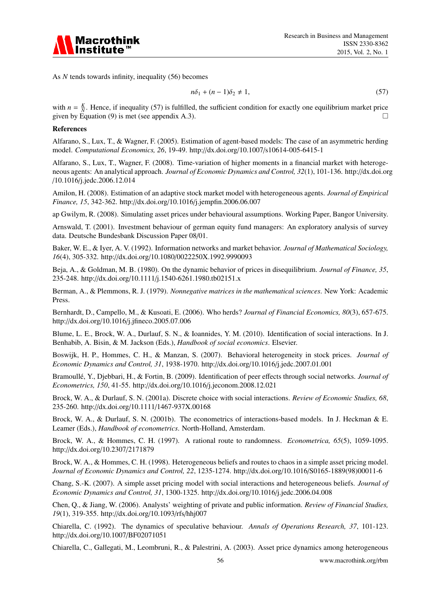

As *N* tends towards infinity, inequality (56) becomes

$$
n\delta_1 + (n-1)\delta_2 \neq 1,\tag{57}
$$

with  $n = \frac{K}{N}$ . Hence, if inequality (57) is fulfilled, the sufficient condition for exactly one equilibrium market price given by Equation (9) is met (see appendix A.3).

# References

Alfarano, S., Lux, T., & Wagner, F. (2005). Estimation of agent-based models: The case of an asymmetric herding model. *Computational Economics, 26*, 19-49. http://dx.doi.org/10.1007/s10614-005-6415-1

Alfarano, S., Lux, T., Wagner, F. (2008). Time-variation of higher moments in a financial market with heterogeneous agents: An analytical approach. *Journal of Economic Dynamics and Control, 32*(1), 101-136. http://dx.doi.org /10.1016/j.jedc.2006.12.014

Amilon, H. (2008). Estimation of an adaptive stock market model with heterogeneous agents. *Journal of Empirical Finance, 15*, 342-362. http://dx.doi.org/10.1016/j.jempfin.2006.06.007

ap Gwilym, R. (2008). Simulating asset prices under behavioural assumptions. Working Paper, Bangor University.

Arnswald, T. (2001). Investment behaviour of german equity fund managers: An exploratory analysis of survey data. Deutsche Bundesbank Discussion Paper 08/01.

Baker, W. E., & Iyer, A. V. (1992). Information networks and market behavior. *Journal of Mathematical Sociology, 16*(4), 305-332. http://dx.doi.org/10.1080/0022250X.1992.9990093

Beja, A., & Goldman, M. B. (1980). On the dynamic behavior of prices in disequilibrium. *Journal of Finance, 35*, 235-248. http://dx.doi.org/10.1111/j.1540-6261.1980.tb02151.x

Berman, A., & Plemmons, R. J. (1979). *Nonnegative matrices in the mathematical sciences*. New York: Academic Press.

Bernhardt, D., Campello, M., & Kusoati, E. (2006). Who herds? *Journal of Financial Economics, 80*(3), 657-675. http://dx.doi.org/10.1016/j.jfineco.2005.07.006

Blume, L. E., Brock, W. A., Durlauf, S. N., & Ioannides, Y. M. (2010). Identification of social interactions. In J. Benhabib, A. Bisin, & M. Jackson (Eds.), *Handbook of social economics*. Elsevier.

Boswijk, H. P., Hommes, C. H., & Manzan, S. (2007). Behavioral heterogeneity in stock prices. *Journal of Economic Dynamics and Control, 31*, 1938-1970. http://dx.doi.org/10.1016/j.jedc.2007.01.001

Bramoullé, Y., Djebbari, H., & Fortin, B. (2009). Identification of peer effects through social networks. *Journal of Econometrics, 150*, 41-55. http://dx.doi.org/10.1016/j.jeconom.2008.12.021

Brock, W. A., & Durlauf, S. N. (2001a). Discrete choice with social interactions. *Review of Economic Studies, 68*, 235-260. http://dx.doi.org/10.1111/1467-937X.00168

Brock, W. A., & Durlauf, S. N. (2001b). The econometrics of interactions-based models. In J. Heckman & E. Leamer (Eds.), *Handbook of econometrics*. North-Holland, Amsterdam.

Brock, W. A., & Hommes, C. H. (1997). A rational route to randomness. *Econometrica, 65*(5), 1059-1095. http://dx.doi.org/10.2307/2171879

Brock, W. A., & Hommes, C. H. (1998). Heterogeneous beliefs and routes to chaos in a simple asset pricing model. *Journal of Economic Dynamics and Control, 22*, 1235-1274. http://dx.doi.org/10.1016/S0165-1889(98)00011-6

Chang, S.-K. (2007). A simple asset pricing model with social interactions and heterogeneous beliefs. *Journal of Economic Dynamics and Control, 31*, 1300-1325. http://dx.doi.org/10.1016/j.jedc.2006.04.008

Chen, Q., & Jiang, W. (2006). Analysts' weighting of private and public information. *Review of Financial Studies, 19*(1), 319-355. http://dx.doi.org/10.1093/rfs/hhj007

Chiarella, C. (1992). The dynamics of speculative behaviour. *Annals of Operations Research, 37*, 101-123. http://dx.doi.org/10.1007/BF02071051

Chiarella, C., Gallegati, M., Leombruni, R., & Palestrini, A. (2003). Asset price dynamics among heterogeneous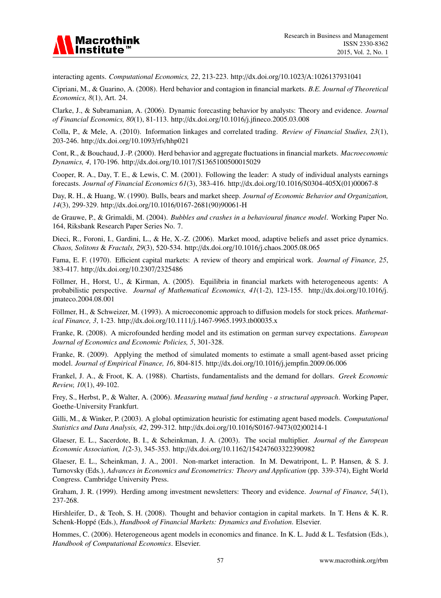

interacting agents. *Computational Economics, 22*, 213-223. http://dx.doi.org/10.1023/A:1026137931041

Cipriani, M., & Guarino, A. (2008). Herd behavior and contagion in financial markets. *B.E. Journal of Theoretical Economics, 8*(1), Art. 24.

Clarke, J., & Subramanian, A. (2006). Dynamic forecasting behavior by analysts: Theory and evidence. *Journal of Financial Economics, 80*(1), 81-113. http://dx.doi.org/10.1016/j.jfineco.2005.03.008

Colla, P., & Mele, A. (2010). Information linkages and correlated trading. *Review of Financial Studies, 23*(1), 203-246. http://dx.doi.org/10.1093/rfs/hhp021

Cont, R., & Bouchaud, J.-P. (2000). Herd behavior and aggregate fluctuations in financial markets. *Macroeconomic Dynamics, 4*, 170-196. http://dx.doi.org/10.1017/S1365100500015029

Cooper, R. A., Day, T. E., & Lewis, C. M. (2001). Following the leader: A study of individual analysts earnings forecasts. *Journal of Financial Economics 61*(3), 383-416. http://dx.doi.org/10.1016/S0304-405X(01)00067-8

Day, R. H., & Huang, W. (1990). Bulls, bears and market sheep. *Journal of Economic Behavior and Organization, 14*(3), 299-329. http://dx.doi.org/10.1016/0167-2681(90)90061-H

de Grauwe, P., & Grimaldi, M. (2004). *Bubbles and crashes in a behavioural finance model*. Working Paper No. 164, Riksbank Research Paper Series No. 7.

Dieci, R., Foroni, I., Gardini, L., & He, X.-Z. (2006). Market mood, adaptive beliefs and asset price dynamics. *Chaos, Solitons* & *Fractals, 29*(3), 520-534. http://dx.doi.org/10.1016/j.chaos.2005.08.065

Fama, E. F. (1970). Efficient capital markets: A review of theory and empirical work. *Journal of Finance, 25*, 383-417. http://dx.doi.org/10.2307/2325486

Föllmer, H., Horst, U., & Kirman, A. (2005). Equilibria in financial markets with heterogeneous agents: A probabilistic perspective. *Journal of Mathematical Economics, 41*(1-2), 123-155. http://dx.doi.org/10.1016/j. jmateco.2004.08.001

Föllmer, H., & Schweizer, M. (1993). A microeconomic approach to diffusion models for stock prices. *Mathematical Finance, 3*, 1-23. http://dx.doi.org/10.1111/j.1467-9965.1993.tb00035.x

Franke, R. (2008). A microfounded herding model and its estimation on german survey expectations. *European Journal of Economics and Economic Policies, 5*, 301-328.

Franke, R. (2009). Applying the method of simulated moments to estimate a small agent-based asset pricing model. *Journal of Empirical Finance, 16*, 804-815. http://dx.doi.org/10.1016/j.jempfin.2009.06.006

Frankel, J. A., & Froot, K. A. (1988). Chartists, fundamentalists and the demand for dollars. *Greek Economic Review, 10*(1), 49-102.

Frey, S., Herbst, P., & Walter, A. (2006). *Measuring mutual fund herding - a structural approach*. Working Paper, Goethe-University Frankfurt.

Gilli, M., & Winker, P. (2003). A global optimization heuristic for estimating agent based models. *Computational Statistics and Data Analysis, 42*, 299-312. http://dx.doi.org/10.1016/S0167-9473(02)00214-1

Glaeser, E. L., Sacerdote, B. I., & Scheinkman, J. A. (2003). The social multiplier. *Journal of the European Economic Association, 1*(2-3), 345-353. http://dx.doi.org/10.1162/154247603322390982

Glaeser, E. L., Scheinkman, J. A., 2001. Non-market interaction. In M. Dewatripont, L. P. Hansen, & S. J. Turnovsky (Eds.), *Advances in Economics and Econometrics: Theory and Application* (pp. 339-374), Eight World Congress. Cambridge University Press.

Graham, J. R. (1999). Herding among investment newsletters: Theory and evidence. *Journal of Finance, 54*(1), 237-268.

Hirshleifer, D., & Teoh, S. H. (2008). Thought and behavior contagion in capital markets. In T. Hens & K. R. Schenk-Hoppé (Eds.), *Handbook of Financial Markets: Dynamics and Evolution*. Elsevier.

Hommes, C. (2006). Heterogeneous agent models in economics and finance. In K. L. Judd & L. Tesfatsion (Eds.), *Handbook of Computational Economics*. Elsevier.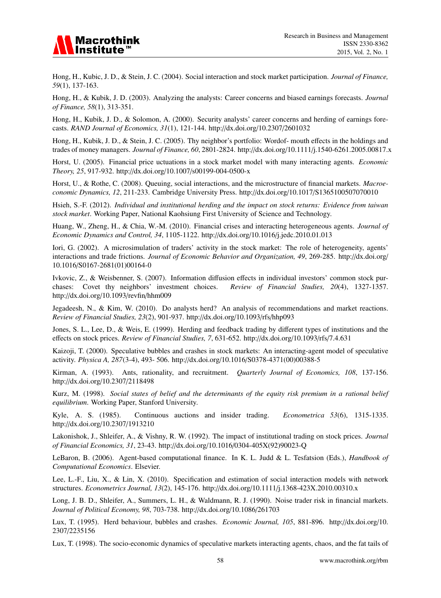

Hong, H., Kubic, J. D., & Stein, J. C. (2004). Social interaction and stock market participation. *Journal of Finance, 59*(1), 137-163.

Hong, H., & Kubik, J. D. (2003). Analyzing the analysts: Career concerns and biased earnings forecasts. *Journal of Finance, 58*(1), 313-351.

Hong, H., Kubik, J. D., & Solomon, A. (2000). Security analysts' career concerns and herding of earnings forecasts. *RAND Journal of Economics, 31*(1), 121-144. http://dx.doi.org/10.2307/2601032

Hong, H., Kubik, J. D., & Stein, J. C. (2005). Thy neighbor's portfolio: Wordof- mouth effects in the holdings and trades of money managers. *Journal of Finance, 60*, 2801-2824. http://dx.doi.org/10.1111/j.1540-6261.2005.00817.x

Horst, U. (2005). Financial price uctuations in a stock market model with many interacting agents. *Economic Theory, 25*, 917-932. http://dx.doi.org/10.1007/s00199-004-0500-x

Horst, U., & Rothe, C. (2008). Queuing, social interactions, and the microstructure of financial markets. *Macroeconomic Dynamics, 12*, 211-233. Cambridge University Press. http://dx.doi.org/10.1017/S1365100507070010

Hsieh, S.-F. (2012). *Individual and institutional herding and the impact on stock returns: Evidence from taiwan stock market*. Working Paper, National Kaohsiung First University of Science and Technology.

Huang, W., Zheng, H., & Chia, W.-M. (2010). Financial crises and interacting heterogeneous agents. *Journal of Economic Dynamics and Control, 34*, 1105-1122. http://dx.doi.org/10.1016/j.jedc.2010.01.013

Iori, G. (2002). A microsimulation of traders' activity in the stock market: The role of heterogeneity, agents' interactions and trade frictions. *Journal of Economic Behavior and Organization, 49*, 269-285. http://dx.doi.org/ 10.1016/S0167-2681(01)00164-0

Ivkovic, Z., & Weisbenner, S. (2007). Information diffusion effects in individual investors' common stock purchases: Covet thy neighbors' investment choices. *Review of Financial Studies, 20*(4), 1327-1357. http://dx.doi.org/10.1093/revfin/hhm009

Jegadeesh, N., & Kim, W. (2010). Do analysts herd? An analysis of recommendations and market reactions. *Review of Financial Studies, 23*(2), 901-937. http://dx.doi.org/10.1093/rfs/hhp093

Jones, S. L., Lee, D., & Weis, E. (1999). Herding and feedback trading by different types of institutions and the effects on stock prices. *Review of Financial Studies, 7*, 631-652. http://dx.doi.org/10.1093/rfs/7.4.631

Kaizoji, T. (2000). Speculative bubbles and crashes in stock markets: An interacting-agent model of speculative activity. *Physica A, 287*(3-4), 493- 506. http://dx.doi.org/10.1016/S0378-4371(00)00388-5

Kirman, A. (1993). Ants, rationality, and recruitment. *Quarterly Journal of Economics, 108*, 137-156. http://dx.doi.org/10.2307/2118498

Kurz, M. (1998). *Social states of belief and the determinants of the equity risk premium in a rational belief equilibrium*. Working Paper, Stanford University.

Kyle, A. S. (1985). Continuous auctions and insider trading. *Econometrica 53*(6), 1315-1335. http://dx.doi.org/10.2307/1913210

Lakonishok, J., Shleifer, A., & Vishny, R. W. (1992). The impact of institutional trading on stock prices. *Journal of Financial Economics, 31*, 23-43. http://dx.doi.org/10.1016/0304-405X(92)90023-Q

LeBaron, B. (2006). Agent-based computational finance. In K. L. Judd & L. Tesfatsion (Eds.), *Handbook of Computational Economics*. Elsevier.

Lee, L.-F., Liu, X., & Lin, X. (2010). Specification and estimation of social interaction models with network structures. *Econometrics Journal, 13*(2), 145-176. http://dx.doi.org/10.1111/j.1368-423X.2010.00310.x

Long, J. B. D., Shleifer, A., Summers, L. H., & Waldmann, R. J. (1990). Noise trader risk in financial markets. *Journal of Political Economy, 98*, 703-738. http://dx.doi.org/10.1086/261703

Lux, T. (1995). Herd behaviour, bubbles and crashes. *Economic Journal, 105*, 881-896. http://dx.doi.org/10. 2307/2235156

Lux, T. (1998). The socio-economic dynamics of speculative markets interacting agents, chaos, and the fat tails of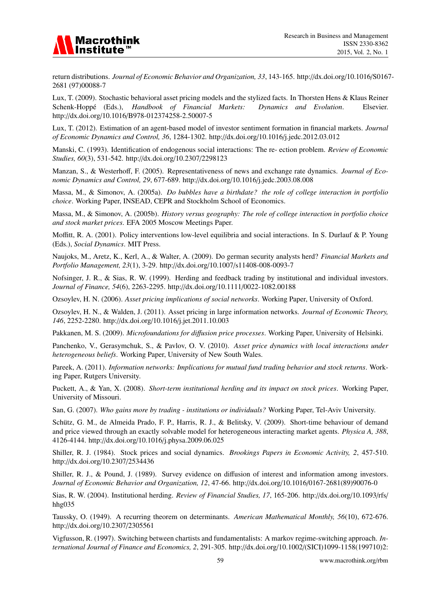

return distributions. *Journal of Economic Behavior and Organization, 33*, 143-165. http://dx.doi.org/10.1016/S0167- 2681 (97)00088-7

Lux, T. (2009). Stochastic behavioral asset pricing models and the stylized facts. In Thorsten Hens & Klaus Reiner Schenk-Hoppé (Eds.), *Handbook of Financial Markets: Dynamics and Evolution*. Elsevier. http://dx.doi.org/10.1016/B978-012374258-2.50007-5

Lux, T. (2012). Estimation of an agent-based model of investor sentiment formation in financial markets. *Journal of Economic Dynamics and Control, 36*, 1284-1302. http://dx.doi.org/10.1016/j.jedc.2012.03.012

Manski, C. (1993). Identification of endogenous social interactions: The re- ection problem. *Review of Economic Studies, 60*(3), 531-542. http://dx.doi.org/10.2307/2298123

Manzan, S., & Westerhoff, F. (2005). Representativeness of news and exchange rate dynamics. *Journal of Economic Dynamics and Control, 29*, 677-689. http://dx.doi.org/10.1016/j.jedc.2003.08.008

Massa, M., & Simonov, A. (2005a). *Do bubbles have a birthdate? the role of college interaction in portfolio choice*. Working Paper, INSEAD, CEPR and Stockholm School of Economics.

Massa, M., & Simonov, A. (2005b). *History versus geography: The role of college interaction in portfolio choice and stock market prices*. EFA 2005 Moscow Meetings Paper.

Moffitt, R. A. (2001). Policy interventions low-level equilibria and social interactions. In S. Durlauf & P. Young (Eds.), *Social Dynamics*. MIT Press.

Naujoks, M., Aretz, K., Kerl, A., & Walter, A. (2009). Do german security analysts herd? *Financial Markets and Portfolio Management, 23*(1), 3-29. http://dx.doi.org/10.1007/s11408-008-0093-7

Nofsinger, J. R., & Sias, R. W. (1999). Herding and feedback trading by institutional and individual investors. *Journal of Finance, 54*(6), 2263-2295. http://dx.doi.org/10.1111/0022-1082.00188

Ozsoylev, H. N. (2006). *Asset pricing implications of social networks*. Working Paper, University of Oxford.

Ozsoylev, H. N., & Walden, J. (2011). Asset pricing in large information networks. *Journal of Economic Theory, 146*, 2252-2280. http://dx.doi.org/10.1016/j.jet.2011.10.003

Pakkanen, M. S. (2009). *Microfoundations for di*ff*usion price processes*. Working Paper, University of Helsinki.

Panchenko, V., Gerasymchuk, S., & Pavlov, O. V. (2010). *Asset price dynamics with local interactions under heterogeneous beliefs*. Working Paper, University of New South Wales.

Pareek, A. (2011). *Information networks: Implications for mutual fund trading behavior and stock returns*. Working Paper, Rutgers University.

Puckett, A., & Yan, X. (2008). *Short-term institutional herding and its impact on stock prices*. Working Paper, University of Missouri.

San, G. (2007). *Who gains more by trading - institutions or individuals?* Working Paper, Tel-Aviv University.

Schütz, G. M., de Almeida Prado, F. P., Harris, R. J., & Belitsky, V. (2009). Short-time behaviour of demand and price viewed through an exactly solvable model for heterogeneous interacting market agents. *Physica A, 388*, 4126-4144. http://dx.doi.org/10.1016/j.physa.2009.06.025

Shiller, R. J. (1984). Stock prices and social dynamics. *Brookings Papers in Economic Activity, 2*, 457-510. http://dx.doi.org/10.2307/2534436

Shiller, R. J., & Pound, J. (1989). Survey evidence on diffusion of interest and information among investors. *Journal of Economic Behavior and Organization, 12*, 47-66. http://dx.doi.org/10.1016/0167-2681(89)90076-0

Sias, R. W. (2004). Institutional herding. *Review of Financial Studies, 17*, 165-206. http://dx.doi.org/10.1093/rfs/ hhg035

Taussky, O. (1949). A recurring theorem on determinants. *American Mathematical Monthly, 56*(10), 672-676. http://dx.doi.org/10.2307/2305561

Vigfusson, R. (1997). Switching between chartists and fundamentalists: A markov regime-switching approach. *International Journal of Finance and Economics, 2*, 291-305. http://dx.doi.org/10.1002/(SICI)1099-1158(199710)2: